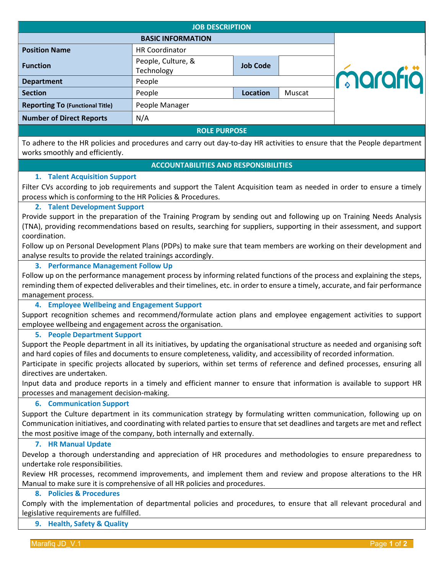| <b>JOB DESCRIPTION</b>                 |                                  |                 |        |         |
|----------------------------------------|----------------------------------|-----------------|--------|---------|
|                                        | <b>BASIC INFORMATION</b>         |                 |        |         |
| <b>Position Name</b>                   | <b>HR Coordinator</b>            |                 |        |         |
| <b>Function</b>                        | People, Culture, &<br>Technology | <b>Job Code</b> |        |         |
| <b>Department</b>                      | People                           |                 |        | marafiä |
| <b>Section</b>                         | People                           | <b>Location</b> | Muscat |         |
| <b>Reporting To (Functional Title)</b> | People Manager                   |                 |        |         |
| <b>Number of Direct Reports</b>        | N/A                              |                 |        |         |
| <b>ROLE PURPOSE</b>                    |                                  |                 |        |         |

To adhere to the HR policies and procedures and carry out day-to-day HR activities to ensure that the People department works smoothly and efficiently.

## **ACCOUNTABILITIES AND RESPONSIBILITIES**

## **1. Talent Acquisition Support**

Filter CVs according to job requirements and support the Talent Acquisition team as needed in order to ensure a timely process which is conforming to the HR Policies & Procedures.

# **2. Talent Development Support**

Provide support in the preparation of the Training Program by sending out and following up on Training Needs Analysis (TNA), providing recommendations based on results, searching for suppliers, supporting in their assessment, and support coordination.

Follow up on Personal Development Plans (PDPs) to make sure that team members are working on their development and analyse results to provide the related trainings accordingly.

## **3. Performance Management Follow Up**

Follow up on the performance management process by informing related functions of the process and explaining the steps, reminding them of expected deliverables and their timelines, etc. in order to ensure a timely, accurate, and fair performance management process.

**4. Employee Wellbeing and Engagement Support**

Support recognition schemes and recommend/formulate action plans and employee engagement activities to support employee wellbeing and engagement across the organisation.

#### **5. People Department Support**

Support the People department in all its initiatives, by updating the organisational structure as needed and organising soft and hard copies of files and documents to ensure completeness, validity, and accessibility of recorded information.

Participate in specific projects allocated by superiors, within set terms of reference and defined processes, ensuring all directives are undertaken.

Input data and produce reports in a timely and efficient manner to ensure that information is available to support HR processes and management decision-making.

#### **6. Communication Support**

Support the Culture department in its communication strategy by formulating written communication, following up on Communication initiatives, and coordinating with related parties to ensure that set deadlines and targets are met and reflect the most positive image of the company, both internally and externally.

#### **7. HR Manual Update**

Develop a thorough understanding and appreciation of HR procedures and methodologies to ensure preparedness to undertake role responsibilities.

Review HR processes, recommend improvements, and implement them and review and propose alterations to the HR Manual to make sure it is comprehensive of all HR policies and procedures.

### **8. Policies & Procedures**

Comply with the implementation of departmental policies and procedures, to ensure that all relevant procedural and legislative requirements are fulfilled.

#### **9. Health, Safety & Quality**